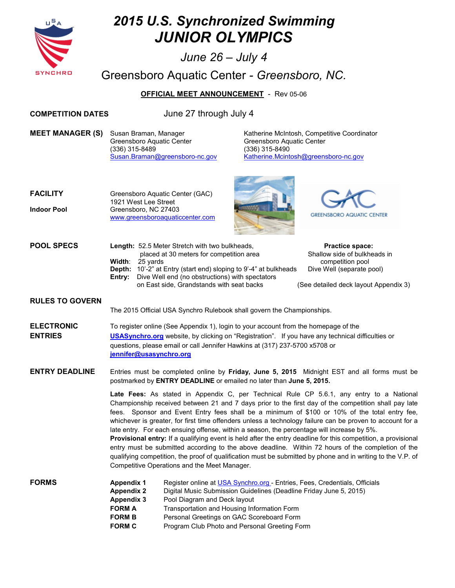

# *2015 U.S. Synchronized Swimming JUNIOR OLYMPICS*

*June 26 – July 4* 

Greensboro Aquatic Center *- Greensboro, NC.* 

**OFFICIAL MEET ANNOUNCEMENT** - Rev 05-06

**COMPETITION DATES** June 27 through July 4

**MEET MANAGER (S)** Susan Braman, Manager Katherine McIntosh, Competitive Coordinator Greensboro Aquatic Center Greensboro Aquatic Center (336) 315-8489 (336) 315-8490

[Susan.Braman@greensboro-nc.gov](mailto:Susan.Braman@greensboro-nc.gov) [Katherine.Mcintosh@greensboro-nc.gov](mailto:Katherine.Mcintosh@greensboro-nc.gov) 

| <b>FACILITY</b>    | Greensboro Aquatic Center (GAC)<br>1921 West Lee Street |
|--------------------|---------------------------------------------------------|
| <b>Indoor Pool</b> | Greensboro, NC 27403<br>www.greensboroaguaticcenter.com |

**POOL SPECS** Length: 52.5 Meter Stretch with two bulkheads,





| <b>Length: 52.5 Meter Stretch with two bulkheads,</b>                   | <b>Practice space:</b>       |
|-------------------------------------------------------------------------|------------------------------|
| placed at 30 meters for competition area                                | Shallow side of bulkheads in |
| Width: 25 vards                                                         | competition pool             |
| <b>Depth:</b> 10'-2" at Entry (start end) sloping to 9'-4" at bulkheads | Dive Well (separate pool)    |

on East side, Grandstands with seat backs (See detailed deck layout Appendix 3)

#### **RULES TO GOVERN**

The 2015 Official USA Synchro Rulebook shall govern the Championships.

**ELECTRONIC** To register online (See Appendix 1), login to your account from the homepage of the **ENTRIES [USASynchro.org](http://www.usasynchro.org/)** website, by clicking on "Registration". If you have any technical difficulties or questions, please email or call Jennifer Hawkins at (317) 237-5700 x5708 or **[jennifer@usasynchro.org](mailto:jennifer@usasynchro.org)** 

 **Entry:** Dive Well end (no obstructions) with spectators

**ENTRY DEADLINE** Entries must be completed online by **Friday, June 5, 2015** Midnight EST and all forms must be postmarked by **ENTRY DEADLINE** or emailed no later than **June 5, 2015.**

> **Late Fees:** As stated in Appendix C, per Technical Rule CP 5.6.1, any entry to a National Championship received between 21 and 7 days prior to the first day of the competition shall pay late fees. Sponsor and Event Entry fees shall be a minimum of \$100 or 10% of the total entry fee, whichever is greater, for first time offenders unless a technology failure can be proven to account for a late entry. For each ensuing offense, within a season, the percentage will increase by 5%.

> **Provisional entry:** If a qualifying event is held after the entry deadline for this competition, a provisional entry must be submitted according to the above deadline. Within 72 hours of the completion of the qualifying competition, the proof of qualification must be submitted by phone and in writing to the V.P. of Competitive Operations and the Meet Manager.

- **FORMS Appendix 1** Register online at [USA Synchro.org](http://www.usasynchro.org/) Entries, Fees, Credentials, Officials **Appendix 2** Digital Music Submission Guidelines (Deadline Friday June 5, 2015) **Appendix 3** Pool Diagram and Deck layout
	- **FORM A** Transportation and Housing Information Form
	- **FORM B** Personal Greetings on GAC Scoreboard Form
	- **FORM C** Program Club Photo and Personal Greeting Form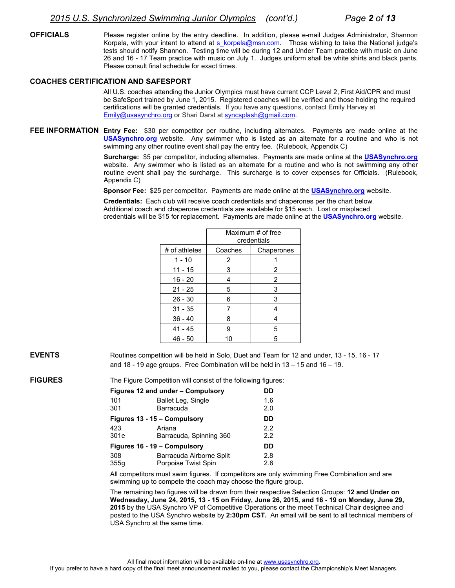**OFFICIALS** Please register online by the entry deadline. In addition, please e-mail Judges Administrator, Shannon Korpela, with your intent to attend at s korpela@msn.com. Those wishing to take the National judge's tests should notify Shannon. Testing time will be during 12 and Under Team practice with music on June 26 and 16 - 17 Team practice with music on July 1. Judges uniform shall be white shirts and black pants. Please consult final schedule for exact times.

#### **COACHES CERTIFICATION AND SAFESPORT**

All U.S. coaches attending the Junior Olympics must have current CCP Level 2, First Aid/CPR and must be SafeSport trained by June 1, 2015. Registered coaches will be verified and those holding the required certifications will be granted credentials. If you have any questions, contact Emily Harvey at [Emily@usasynchro.org](mailto:Emily@usasynchro.org) or Shari Darst at [syncsplash@gmail.com.](mailto:syncsplash@gmail.com)

**FEE INFORMATION Entry Fee:** \$30 per competitor per routine, including alternates. Payments are made online at the **[USASynchro.org](http://www.usasynchro.org/)** website. Any swimmer who is listed as an alternate for a routine and who is not swimming any other routine event shall pay the entry fee. (Rulebook, Appendix C)

> **Surcharge:** \$5 per competitor, including alternates. Payments are made online at the **[USASynchro.org](http://www.usasynchro.org/)** website. Any swimmer who is listed as an alternate for a routine and who is not swimming any other routine event shall pay the surcharge. This surcharge is to cover expenses for Officials. (Rulebook, Appendix C)

**Sponsor Fee:** \$25 per competitor. Payments are made online at the **[USASynchro.org](http://www.usasynchro.org/)** website.

**Credentials:** Each club will receive coach credentials and chaperones per the chart below. Additional coach and chaperone credentials are available for \$15 each. Lost or misplaced credentials will be \$15 for replacement. Payments are made online at the **[USASynchro.org](http://www.usasynchro.org/)** website.

|               | Maximum # of free<br>credentials |            |  |
|---------------|----------------------------------|------------|--|
| # of athletes | Coaches                          | Chaperones |  |
| $1 - 10$      | 2                                |            |  |
| $11 - 15$     | 3                                | 2          |  |
| $16 - 20$     | 4                                | 2          |  |
| $21 - 25$     | 5                                | 3          |  |
| $26 - 30$     | 6                                | 3          |  |
| $31 - 35$     | 7                                | 4          |  |
| $36 - 40$     | 8                                | 4          |  |
| $41 - 45$     | 9                                | 5          |  |
| $46 - 50$     | 10                               | 5          |  |

**EVENTS** Routines competition will be held in Solo, Duet and Team for 12 and under, 13 - 15, 16 - 17 and 18 - 19 age groups. Free Combination will be held in 13 – 15 and 16 – 19.

**FIGURES** The Figure Competition will consist of the following figures:

|      | Figures 12 and under - Compulsory | DD.           |
|------|-----------------------------------|---------------|
| 101  | Ballet Leg, Single                | 1.6           |
| 301  | Barracuda                         | 2.0           |
|      | Figures 13 - 15 - Compulsory      | DD.           |
| 423  | Ariana                            | 2.2           |
| 301e | Barracuda, Spinning 360           | $2.2^{\circ}$ |
|      | Figures 16 - 19 - Compulsory      | DD            |
| 308  | Barracuda Airborne Split          | 2.8           |
| 355q | Porpoise Twist Spin               | 2.6           |

All competitors must swim figures. If competitors are only swimming Free Combination and are swimming up to compete the coach may choose the figure group.

 The remaining two figures will be drawn from their respective Selection Groups: **12 and Under on Wednesday, June 24, 2015, 13 - 15 on Friday, June 26, 2015, and 16 - 19 on Monday, June 29, 2015** by the USA Synchro VP of Competitive Operations or the meet Technical Chair designee and posted to the USA Synchro website by **2:30pm CST.** An email will be sent to all technical members of USA Synchro at the same time.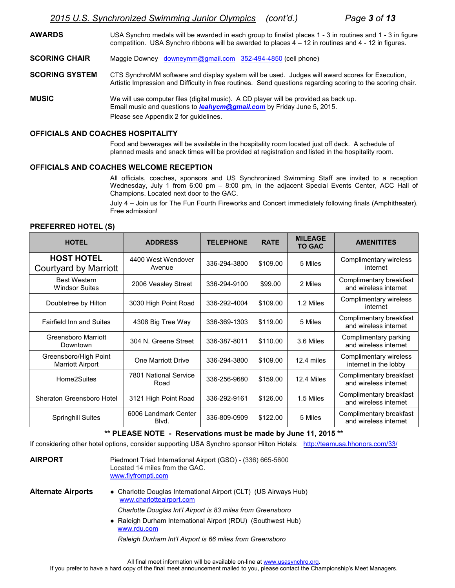**AWARDS** USA Synchro medals will be awarded in each group to finalist places 1 - 3 in routines and 1 - 3 in figure competition. USA Synchro ribbons will be awarded to places 4 – 12 in routines and 4 - 12 in figures.

**SCORING CHAIR** Maggie Downey [downeymm@gmail.com](mailto:downeymm@gmail.com) 352-494-4850 (cell phone)

- **SCORING SYSTEM** CTS SynchroMM software and display system will be used. Judges will award scores for Execution, Artistic Impression and Difficulty in free routines. Send questions regarding scoring to the scoring chair.
- **MUSIC** We will use computer files (digital music). A CD player will be provided as back up. Email music and questions to *[leahycm@gmail.com](mailto:leahycm@gmail.com)* by Friday June 5, 2015. Please see Appendix 2 for guidelines.

#### **OFFICIALS AND COACHES HOSPITALITY**

 Food and beverages will be available in the hospitality room located just off deck. A schedule of planned meals and snack times will be provided at registration and listed in the hospitality room.

#### **OFFICIALS AND COACHES WELCOME RECEPTION**

All officials, coaches, sponsors and US Synchronized Swimming Staff are invited to a reception Wednesday, July 1 from 6:00 pm – 8:00 pm, in the adjacent Special Events Center, ACC Hall of Champions. Located next door to the GAC.

July 4 – Join us for The Fun Fourth Fireworks and Concert immediately following finals (Amphitheater). Free admission!

#### **PREFERRED HOTEL (S)**

| <b>HOTEL</b>                                     | <b>ADDRESS</b>                | <b>TELEPHONE</b> | <b>RATE</b> | <b>MILEAGE</b><br><b>TO GAC</b> | <b>AMENITITES</b>                                |
|--------------------------------------------------|-------------------------------|------------------|-------------|---------------------------------|--------------------------------------------------|
| <b>HOST HOTEL</b><br>Courtyard by Marriott       | 4400 West Wendover<br>Avenue  | 336-294-3800     | \$109.00    | 5 Miles                         | Complimentary wireless<br>internet               |
| <b>Best Western</b><br><b>Windsor Suites</b>     | 2006 Veasley Street           | 336-294-9100     | \$99.00     | 2 Miles                         | Complimentary breakfast<br>and wireless internet |
| Doubletree by Hilton                             | 3030 High Point Road          | 336-292-4004     | \$109.00    | 1.2 Miles                       | Complimentary wireless<br>internet               |
| <b>Fairfield Inn and Suites</b>                  | 4308 Big Tree Way             | 336-369-1303     | \$119.00    | 5 Miles                         | Complimentary breakfast<br>and wireless internet |
| Greensboro Marriott<br>Downtown                  | 304 N. Greene Street          | 336-387-8011     | \$110.00    | 3.6 Miles                       | Complimentary parking<br>and wireless internet   |
| Greensboro/High Point<br><b>Marriott Airport</b> | One Marriott Drive            | 336-294-3800     | \$109.00    | 12.4 miles                      | Complimentary wireless<br>internet in the lobby  |
| Home2Suites                                      | 7801 National Service<br>Road | 336-256-9680     | \$159.00    | 12.4 Miles                      | Complimentary breakfast<br>and wireless internet |
| Sheraton Greensboro Hotel                        | 3121 High Point Road          | 336-292-9161     | \$126.00    | 1.5 Miles                       | Complimentary breakfast<br>and wireless internet |
| <b>Springhill Suites</b>                         | 6006 Landmark Center<br>Blvd. | 336-809-0909     | \$122.00    | 5 Miles                         | Complimentary breakfast<br>and wireless internet |

#### **\*\* PLEASE NOTE - Reservations must be made by June 11, 2015 \*\***

If considering other hotel options, consider supporting USA Synchro sponsor Hilton Hotels: <http://teamusa.hhonors.com/33/>

| <b>AIRPORT</b>            | Piedmont Triad International Airport (GSO) - (336) 665-5600<br>Located 14 miles from the GAC.<br>www.flyfrompti.com |
|---------------------------|---------------------------------------------------------------------------------------------------------------------|
| <b>Alternate Airports</b> | • Charlotte Douglas International Airport (CLT) (US Airways Hub)<br>www.charlotteairport.com                        |
|                           | Charlotte Douglas Int'l Airport is 83 miles from Greensboro                                                         |
|                           | • Raleigh Durham International Airport (RDU) (Southwest Hub)<br>www.rdu.com                                         |
|                           | Raleigh Durham Int'l Airport is 66 miles from Greensboro                                                            |
|                           |                                                                                                                     |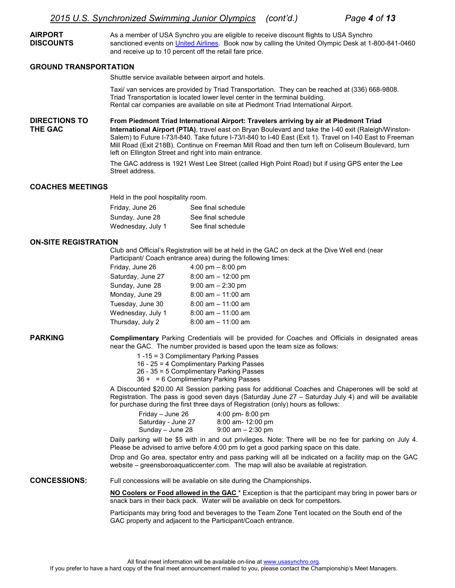**AIRPORT** As a member of USA Synchro you are eligible to receive discount flights to USA Synchro **DISCOUNTS** sanctioned events on [United Airlines.](http://www.unitedairlines.com/) Book now by calling the United Olympic Desk at 1-800-841-0460 and receive up to 10 percent off the retail fare price.

#### **GROUND TRANSPORTATION**

Shuttle service available between airport and hotels.

Taxi/ van services are provided by Triad Transportation. They can be reached at (336) 668-9808. Triad Transportation is located lower level center in the terminal building. Rental car companies are available on site at Piedmont Triad International Airport.

**DIRECTIONS TO From Piedmont Triad International Airport: Travelers arriving by air at Piedmont Triad THE GAC International Airport (PTIA)**, travel east on Bryan Boulevard and take the I-40 exit (Raleigh/Winston-Salem) to Future I-73/I-840. Take future I-73/I-840 to I-40 East (Exit 1). Travel on I-40 East to Freeman Mill Road (Exit 218B). Continue on Freeman Mill Road and then turn left on Coliseum Boulevard, turn left on Ellington Street and right into main entrance.

> The GAC address is 1921 West Lee Street (called High Point Road) but if using GPS enter the Lee Street address.

#### **COACHES MEETINGS**

Held in the pool hospitality room.

| Friday, June 26   | See final schedule |
|-------------------|--------------------|
| Sunday, June 28   | See final schedule |
| Wednesday, July 1 | See final schedule |

#### **ON-SITE REGISTRATION**

Club and Official's Registration will be at held in the GAC on deck at the Dive Well end (near Participant/ Coach entrance area) during the following times:

| Friday, June 26   | 4:00 pm $-$ 8:00 pm   |
|-------------------|-----------------------|
| Saturday, June 27 | 8:00 am - 12:00 pm    |
| Sunday, June 28   | $9:00$ am $- 2:30$ pm |
| Monday, June 29   | $8:00$ am $-11:00$ am |
| Tuesday, June 30  | $8:00$ am $-11:00$ am |
| Wednesday, July 1 | $8:00$ am $-11:00$ am |
| Thursday, July 2  | $8:00$ am $-11:00$ am |
|                   |                       |

**PARKING Complimentary** Parking Credentials will be provided for Coaches and Officials in designated areas near the GAC. The number provided is based upon the team size as follows:

1 -15 = 3 Complimentary Parking Passes

16 - 25 = 4 Complimentary Parking Passes

26 - 35 = 5 Complimentary Parking Passes

36 + = 6 Complimentary Parking Passes

 A Discounted \$20.00 All Session parking pass for additional Coaches and Chaperones will be sold at Registration. The pass is good seven days (Saturday June 27 – Saturday July 4) and will be available for purchase during the first three days of Registration (only) hours as follows:

| Friday – June 26   | $4:00$ pm- $8:00$ pm |
|--------------------|----------------------|
| Saturday - June 27 | $8:00$ am- 12:00 pm  |
| Sunday – June 28   | $9:00$ am $-2:30$ pm |

 Daily parking will be \$5 with in and out privileges. Note: There will be no fee for parking on July 4. Please be advised to arrive before 4:00 pm to get a good parking space on this date.

 Drop and Go area, spectator entry and pass parking will all be indicated on a facility map on the GAC website – greensboroaquaticcenter.com. The map will also be available at registration.

**CONCESSIONS:** Full concessions will be available on site during the Championships**.** 

**NO Coolers or Food allowed in the GAC** \* Exception is that the participant may bring in power bars or snack bars in their back pack. Water will be available on deck for competitors.

Participants may bring food and beverages to the Team Zone Tent located on the South end of the GAC property and adjacent to the Participant/Coach entrance.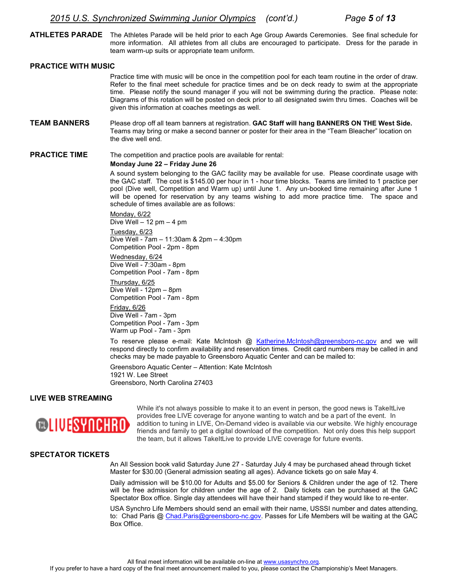**ATHLETES PARADE** The Athletes Parade will be held prior to each Age Group Awards Ceremonies. See final schedule for more information. All athletes from all clubs are encouraged to participate. Dress for the parade in team warm-up suits or appropriate team uniform.

#### **PRACTICE WITH MUSIC**

Practice time with music will be once in the competition pool for each team routine in the order of draw. Refer to the final meet schedule for practice times and be on deck ready to swim at the appropriate time. Please notify the sound manager if you will not be swimming during the practice. Please note: Diagrams of this rotation will be posted on deck prior to all designated swim thru times. Coaches will be given this information at coaches meetings as well.

**TEAM BANNERS** Please drop off all team banners at registration. **GAC Staff will hang BANNERS ON THE West Side.** Teams may bring or make a second banner or poster for their area in the "Team Bleacher" location on the dive well end.

**PRACTICE TIME** The competition and practice pools are available for rental:

#### **Monday June 22 – Friday June 26**

A sound system belonging to the GAC facility may be available for use. Please coordinate usage with the GAC staff. The cost is \$145.00 per hour in 1 - hour time blocks. Teams are limited to 1 practice per pool (Dive well, Competition and Warm up) until June 1. Any un-booked time remaining after June 1 will be opened for reservation by any teams wishing to add more practice time. The space and schedule of times available are as follows:

Monday, 6/22 Dive Well – 12 pm – 4 pm Tuesday, 6/23 Dive Well - 7am – 11:30am & 2pm – 4:30pm Competition Pool - 2pm - 8pm

Wednesday, 6/24 Dive Well - 7:30am - 8pm Competition Pool - 7am - 8pm

Thursday, 6/25 Dive Well - 12pm – 8pm Competition Pool - 7am - 8pm

Friday, 6/26 Dive Well - 7am - 3pm Competition Pool - 7am - 3pm Warm up Pool - 7am - 3pm

 To reserve please e-mail: Kate McIntosh @ [Katherine.McIntosh@greensboro-nc.gov](mailto:Katherine.McIntosh@greensboro-nc.gov) and we will respond directly to confirm availability and reservation times. Credit card numbers may be called in and checks may be made payable to Greensboro Aquatic Center and can be mailed to:

 Greensboro Aquatic Center – Attention: Kate McIntosh 1921 W. Lee Street Greensboro, North Carolina 27403

#### **LIVE WEB STREAMING**



While it's not always possible to make it to an event in person, the good news is TakeItLive provides free LIVE coverage for anyone wanting to watch and be a part of the event. In addition to tuning in LIVE, On-Demand video is available via our website. We highly encourage friends and family to get a digital download of the competition. Not only does this help support the team, but it allows TakeItLive to provide LIVE coverage for future events.

#### **SPECTATOR TICKETS**

 An All Session book valid Saturday June 27 - Saturday July 4 may be purchased ahead through ticket Master for \$30.00 (General admission seating all ages). Advance tickets go on sale May 4.

 Daily admission will be \$10.00 for Adults and \$5.00 for Seniors & Children under the age of 12. There will be free admission for children under the age of 2. Daily tickets can be purchased at the GAC Spectator Box office. Single day attendees will have their hand stamped if they would like to re-enter.

 USA Synchro Life Members should send an email with their name, USSSI number and dates attending, to: Chad Paris @ [Chad.Paris@greensboro-nc.gov.](mailto:Chad.Paris@greensboro-nc.gov) Passes for Life Members will be waiting at the GAC Box Office.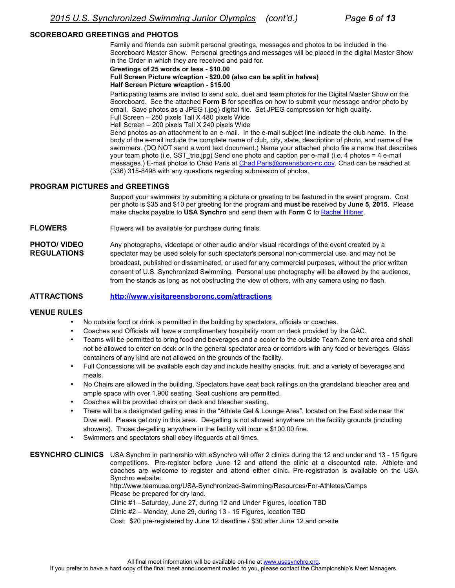#### **SCOREBOARD GREETINGS and PHOTOS**

Family and friends can submit personal greetings, messages and photos to be included in the Scoreboard Master Show. Personal greetings and messages will be placed in the digital Master Show in the Order in which they are received and paid for.

#### **Greetings of 25 words or less - \$10.00 Full Screen Picture w/caption - \$20.00 (also can be split in halves) Half Screen Picture w/caption - \$15.00**

Participating teams are invited to send solo, duet and team photos for the Digital Master Show on the Scoreboard. See the attached **Form B** for specifics on how to submit your message and/or photo by email. Save photos as a JPEG (.jpg) digital file. Set JPEG compression for high quality. Full Screen – 250 pixels Tall X 480 pixels Wide

Hall Screen – 200 pixels Tall X 240 pixels Wide

Send photos as an attachment to an e-mail. In the e-mail subject line indicate the club name. In the body of the e-mail include the complete name of club, city, state, description of photo, and name of the swimmers. (DO NOT send a word text document.) Name your attached photo file a name that describes your team photo (i.e. SST trio.jpg) Send one photo and caption per e-mail (i.e. 4 photos = 4 e-mail messages.) E-mail photos to Chad Paris at [Chad.Paris@greensboro-nc.gov.](mailto:Chad.Paris@greensboro-nc.gov) Chad can be reached at (336) 315-8498 with any questions regarding submission of photos.

#### **PROGRAM PICTURES and GREETINGS**

Support your swimmers by submitting a picture or greeting to be featured in the event program. Cost per photo is \$35 and \$10 per greeting for the program and **must be** received by **June 5, 2015**. Please make checks payable to **USA Synchro** and send them with **Form C** to [Rachel Hibner](mailto:rachel@usasynchro.org).

**FLOWERS** Flowers will be available for purchase during finals.

**PHOTO/ VIDEO** Any photographs, videotape or other audio and/or visual recordings of the event created by a **REGULATIONS** spectator may be used solely for such spectator's personal non-commercial use, and may not be broadcast, published or disseminated, or used for any commercial purposes, without the prior written consent of U.S. Synchronized Swimming. Personal use photography will be allowed by the audience, from the stands as long as not obstructing the view of others, with any camera using no flash.

#### **ATTRACTIONS <http://www.visitgreensboronc.com/attractions>**

#### **VENUE RULES**

- No outside food or drink is permitted in the building by spectators, officials or coaches.
- Coaches and Officials will have a complimentary hospitality room on deck provided by the GAC.
- Teams will be permitted to bring food and beverages and a cooler to the outside Team Zone tent area and shall not be allowed to enter on deck or in the general spectator area or corridors with any food or beverages. Glass containers of any kind are not allowed on the grounds of the facility.
- Full Concessions will be available each day and include healthy snacks, fruit, and a variety of beverages and meals.
- No Chairs are allowed in the building. Spectators have seat back railings on the grandstand bleacher area and ample space with over 1,900 seating. Seat cushions are permitted.
- Coaches will be provided chairs on deck and bleacher seating.
- There will be a designated gelling area in the "Athlete Gel & Lounge Area", located on the East side near the Dive well. Please gel only in this area. De-gelling is not allowed anywhere on the facility grounds (including showers). Those de-gelling anywhere in the facility will incur a \$100.00 fine.
- Swimmers and spectators shall obey lifeguards at all times.

**ESYNCHRO CLINICS** USA Synchro in partnership with eSynchro will offer 2 clinics during the 12 and under and 13 - 15 figure competitions. Pre-register before June 12 and attend the clinic at a discounted rate. Athlete and coaches are welcome to register and attend either clinic. Pre-registration is available on the USA Synchro website:

http://www.teamusa.org/USA-Synchronized-Swimming/Resources/For-Athletes/Camps Please be prepared for dry land.

Clinic #1 –Saturday, June 27, during 12 and Under Figures, location TBD

Clinic #2 – Monday, June 29, during 13 - 15 Figures, location TBD

Cost: \$20 pre-registered by June 12 deadline / \$30 after June 12 and on-site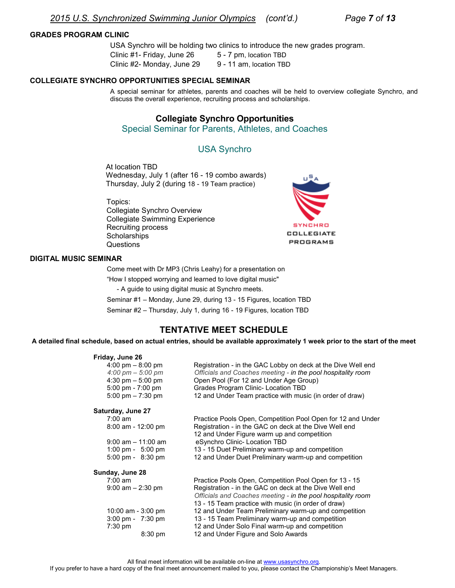#### **GRADES PROGRAM CLINIC**

USA Synchro will be holding two clinics to introduce the new grades program. Clinic #1- Friday, June 26 5 - 7 pm, location TBD Clinic #2- Monday, June 29 9 - 11 am, location TBD

#### **COLLEGIATE SYNCHRO OPPORTUNITIES SPECIAL SEMINAR**

A special seminar for athletes, parents and coaches will be held to overview collegiate Synchro, and discuss the overall experience, recruiting process and scholarships.

#### **Collegiate Synchro Opportunities**

Special Seminar for Parents, Athletes, and Coaches

#### USA Synchro

At location TBD Wednesday, July 1 (after 16 - 19 combo awards) Thursday, July 2 (during 18 - 19 Team practice)

Topics: Collegiate Synchro Overview Collegiate Swimming Experience Recruiting process **Scholarships** Questions



#### **DIGITAL MUSIC SEMINAR**

Come meet with Dr MP3 (Chris Leahy) for a presentation on

"How I stopped worrying and learned to love digital music"

- A guide to using digital music at Synchro meets.

Seminar #1 – Monday, June 29, during 13 - 15 Figures, location TBD

Seminar #2 – Thursday, July 1, during 16 - 19 Figures, location TBD

#### **TENTATIVE MEET SCHEDULE**

**A detailed final schedule, based on actual entries, should be available approximately 1 week prior to the start of the meet** 

| Friday, June 26   |                                     |                                                              |
|-------------------|-------------------------------------|--------------------------------------------------------------|
|                   | 4:00 pm $-8:00$ pm                  | Registration - in the GAC Lobby on deck at the Dive Well end |
|                   | $4:00 \text{ pm} - 5:00 \text{ pm}$ | Officials and Coaches meeting - in the pool hospitality room |
|                   | 4:30 pm $-5:00$ pm                  | Open Pool (For 12 and Under Age Group)                       |
|                   | 5:00 pm - 7:00 pm                   | Grades Program Clinic- Location TBD                          |
|                   | 5:00 pm $-7:30$ pm                  | 12 and Under Team practice with music (in order of draw)     |
| Saturday, June 27 |                                     |                                                              |
| $7:00 \text{ am}$ |                                     | Practice Pools Open, Competition Pool Open for 12 and Under  |
|                   | $8:00$ am - 12:00 pm                | Registration - in the GAC on deck at the Dive Well end       |
|                   |                                     | 12 and Under Figure warm up and competition                  |
|                   | $9:00$ am $-11:00$ am               | eSynchro Clinic- Location TBD                                |
|                   | 1:00 pm - $5:00$ pm                 | 13 - 15 Duet Preliminary warm-up and competition             |
|                   | $5:00 \text{ pm} - 8:30 \text{ pm}$ | 12 and Under Duet Preliminary warm-up and competition        |
| Sunday, June 28   |                                     |                                                              |
| $7:00 \text{ am}$ |                                     | Practice Pools Open, Competition Pool Open for 13 - 15       |
|                   | $9:00$ am $-2:30$ pm                | Registration - in the GAC on deck at the Dive Well end       |
|                   |                                     | Officials and Coaches meeting - in the pool hospitality room |
|                   |                                     | 13 - 15 Team practice with music (in order of draw)          |
|                   | 10:00 am - 3:00 pm                  | 12 and Under Team Preliminary warm-up and competition        |
|                   | $3:00 \text{ pm} - 7:30 \text{ pm}$ | 13 - 15 Team Preliminary warm-up and competition             |
| $7:30 \text{ pm}$ |                                     | 12 and Under Solo Final warm-up and competition              |
|                   | $8:30 \text{ pm}$                   | 12 and Under Figure and Solo Awards                          |
|                   |                                     |                                                              |

All final meet information will be available on-line at www.usasynchro.org.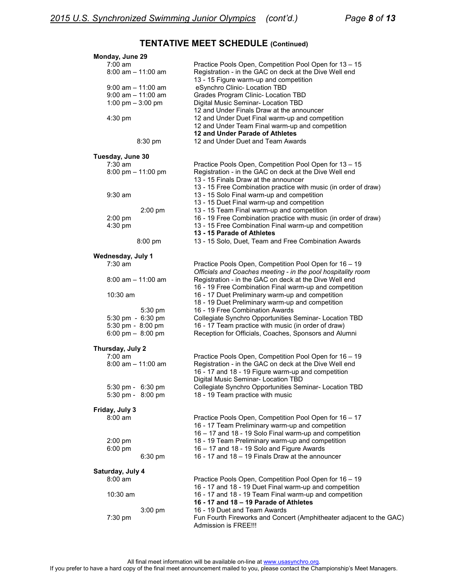## **TENTATIVE MEET SCHEDULE (Continued)**

| Monday, June 29                              |                                                                                                            |
|----------------------------------------------|------------------------------------------------------------------------------------------------------------|
| $7:00$ am                                    | Practice Pools Open, Competition Pool Open for 13 - 15                                                     |
| $8:00$ am $-11:00$ am                        | Registration - in the GAC on deck at the Dive Well end                                                     |
|                                              | 13 - 15 Figure warm-up and competition                                                                     |
| $9:00$ am $-11:00$ am                        | eSynchro Clinic- Location TBD                                                                              |
| $9:00$ am $-11:00$ am<br>1:00 pm $-$ 3:00 pm | Grades Program Clinic- Location TBD<br>Digital Music Seminar- Location TBD                                 |
|                                              | 12 and Under Finals Draw at the announcer                                                                  |
| 4:30 pm                                      | 12 and Under Duet Final warm-up and competition                                                            |
|                                              | 12 and Under Team Final warm-up and competition                                                            |
|                                              | 12 and Under Parade of Athletes                                                                            |
| 8:30 pm                                      | 12 and Under Duet and Team Awards                                                                          |
| Tuesday, June 30                             |                                                                                                            |
| $7:30$ am                                    | Practice Pools Open, Competition Pool Open for 13 - 15                                                     |
| 8:00 pm $-$ 11:00 pm                         | Registration - in the GAC on deck at the Dive Well end                                                     |
|                                              | 13 - 15 Finals Draw at the announcer                                                                       |
|                                              | 13 - 15 Free Combination practice with music (in order of draw)                                            |
| $9:30$ am                                    | 13 - 15 Solo Final warm-up and competition                                                                 |
|                                              | 13 - 15 Duet Final warm-up and competition                                                                 |
| 2:00 pm                                      | 13 - 15 Team Final warm-up and competition                                                                 |
| 2:00 pm                                      | 16 - 19 Free Combination practice with music (in order of draw)                                            |
| 4:30 pm                                      | 13 - 15 Free Combination Final warm-up and competition<br>13 - 15 Parade of Athletes                       |
| 8:00 pm                                      | 13 - 15 Solo, Duet, Team and Free Combination Awards                                                       |
|                                              |                                                                                                            |
| Wednesday, July 1                            |                                                                                                            |
| $7:30$ am                                    | Practice Pools Open, Competition Pool Open for 16 - 19                                                     |
|                                              | Officials and Coaches meeting - in the pool hospitality room                                               |
| $8:00$ am $-11:00$ am                        | Registration - in the GAC on deck at the Dive Well end                                                     |
| 10:30 am                                     | 16 - 19 Free Combination Final warm-up and competition<br>16 - 17 Duet Preliminary warm-up and competition |
|                                              | 18 - 19 Duet Preliminary warm-up and competition                                                           |
| $5:30$ pm                                    | 16 - 19 Free Combination Awards                                                                            |
| 5:30 pm - 6:30 pm                            | Collegiate Synchro Opportunities Seminar- Location TBD                                                     |
| 5:30 pm - 8:00 pm                            | 16 - 17 Team practice with music (in order of draw)                                                        |
| 6:00 pm $-$ 8:00 pm                          | Reception for Officials, Coaches, Sponsors and Alumni                                                      |
| Thursday, July 2                             |                                                                                                            |
| $7:00$ am                                    | Practice Pools Open, Competition Pool Open for 16 - 19                                                     |
| $8:00$ am $-11:00$ am                        | Registration - in the GAC on deck at the Dive Well end                                                     |
|                                              | 16 - 17 and 18 - 19 Figure warm-up and competition                                                         |
|                                              | Digital Music Seminar- Location TBD                                                                        |
| 5:30 pm - 6:30 pm                            | Collegiate Synchro Opportunities Seminar- Location TBD                                                     |
| $5:30 \text{ pm} - 8:00 \text{ pm}$          | 18 - 19 Team practice with music                                                                           |
| Friday, July 3                               |                                                                                                            |
| $8:00$ am                                    | Practice Pools Open, Competition Pool Open for 16 - 17                                                     |
|                                              | 16 - 17 Team Preliminary warm-up and competition                                                           |
|                                              | 16 - 17 and 18 - 19 Solo Final warm-up and competition                                                     |
| 2:00 pm                                      | 18 - 19 Team Preliminary warm-up and competition                                                           |
| 6:00 pm                                      | 16 - 17 and 18 - 19 Solo and Figure Awards                                                                 |
| $6:30$ pm                                    | 16 - 17 and 18 - 19 Finals Draw at the announcer                                                           |
| Saturday, July 4                             |                                                                                                            |
| $8:00$ am                                    | Practice Pools Open, Competition Pool Open for 16 - 19                                                     |
|                                              | 16 - 17 and 18 - 19 Duet Final warm-up and competition                                                     |
| $10:30$ am                                   | 16 - 17 and 18 - 19 Team Final warm-up and competition                                                     |
|                                              | 16 - 17 and 18 - 19 Parade of Athletes                                                                     |
| 3:00 pm                                      | 16 - 19 Duet and Team Awards                                                                               |
| 7:30 pm                                      | Fun Fourth Fireworks and Concert (Amphitheater adjacent to the GAC)<br>Admission is FREE!!!                |
|                                              |                                                                                                            |
|                                              |                                                                                                            |

All final meet information will be available on-line at www.usasynchro.org. If you prefer to have a hard copy of the final meet announcement mailed to you, please contact the Championship's Meet Managers.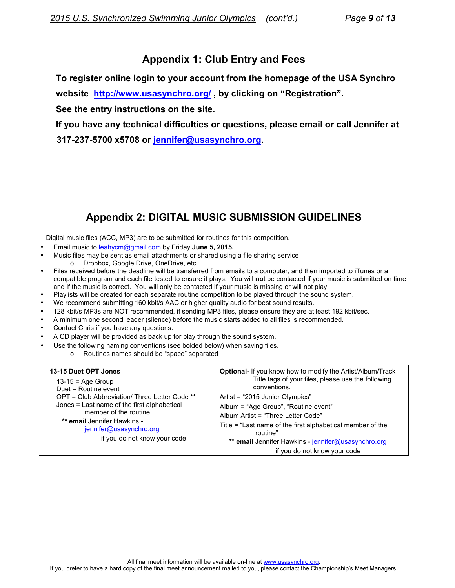## **Appendix 1: Club Entry and Fees**

**To register online login to your account from the homepage of the USA Synchro** 

**website <http://www.usasynchro.org/> , by clicking on "Registration".** 

**See the entry instructions on the site.** 

**If you have any technical difficulties or questions, please email or call Jennifer at 317-237-5700 x5708 or [jennifer@usasynchro.org.](mailto:jennifer@usasynchro.org)** 

## **Appendix 2: DIGITAL MUSIC SUBMISSION GUIDELINES**

Digital music files (ACC, MP3) are to be submitted for routines for this competition.

- Email music to [leahycm@gmail.com](mailto:leahycm@gmail.com) by Friday **June 5, 2015.**
- Music files may be sent as email attachments or shared using a file sharing service o Dropbox, Google Drive, OneDrive, etc.
- Files received before the deadline will be transferred from emails to a computer, and then imported to iTunes or a compatible program and each file tested to ensure it plays. You will **no**t be contacted if your music is submitted on time and if the music is correct. You will only be contacted if your music is missing or will not play.
- Playlists will be created for each separate routine competition to be played through the sound system.
- We recommend submitting 160 kbit/s AAC or higher quality audio for best sound results.
- 128 kbit/s MP3s are NOT recommended, if sending MP3 files, please ensure they are at least 192 kbit/sec.
- A minimum one second leader (silence) before the music starts added to all files is recommended.
- Contact Chris if you have any questions.
- A CD player will be provided as back up for play through the sound system.
- Use the following naming conventions (see bolded below) when saving files.
	- o Routines names should be "space" separated

| 13-15 Duet OPT Jones<br>$13-15$ = Age Group<br>Duet = Routine event | <b>Optional-</b> If you know how to modify the Artist/Album/Track<br>Title tags of your files, please use the following<br>conventions. |
|---------------------------------------------------------------------|-----------------------------------------------------------------------------------------------------------------------------------------|
| OPT = Club Abbreviation/ Three Letter Code **                       | Artist = "2015 Junior Olympics"                                                                                                         |
| Jones = Last name of the first alphabetical                         | Album = "Age Group", "Routine event"                                                                                                    |
| member of the routine                                               | Album Artist = "Three Letter Code"                                                                                                      |
| ** email Jennifer Hawkins -<br>jennifer@usasynchro.org              | Title = "Last name of the first alphabetical member of the<br>routine"                                                                  |
| if you do not know your code                                        | ** email Jennifer Hawkins - jennifer@usasynchro.org                                                                                     |
|                                                                     | if you do not know your code                                                                                                            |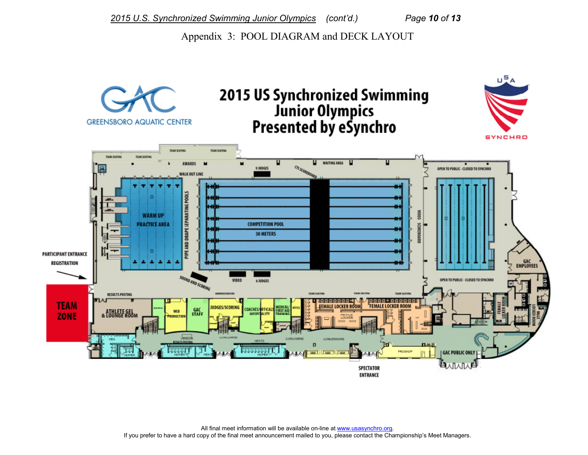Appendix 3: POOL DIAGRAM and DECK LAYOUT



All final meet information will be available on-line at www.usasynchro.org. If you prefer to have a hard copy of the final meet announcement mailed to you, please contact the Championship's Meet Managers.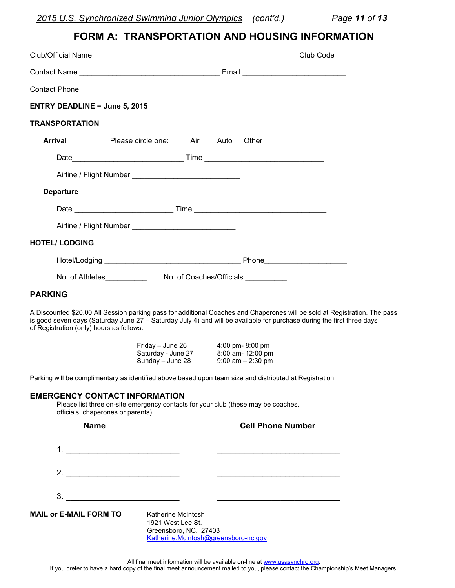*2015 U.S. Synchronized Swimming Junior Olympics (cont'd.) Page 11 of 13*

## **FORM A: TRANSPORTATION AND HOUSING INFORMATION**

|                                          |                                                                                                                                                                                                                                                                                                                                                                                                                                                                                                                  |                                                                                                                                                                                                                                                      | Club Code___________ |
|------------------------------------------|------------------------------------------------------------------------------------------------------------------------------------------------------------------------------------------------------------------------------------------------------------------------------------------------------------------------------------------------------------------------------------------------------------------------------------------------------------------------------------------------------------------|------------------------------------------------------------------------------------------------------------------------------------------------------------------------------------------------------------------------------------------------------|----------------------|
|                                          |                                                                                                                                                                                                                                                                                                                                                                                                                                                                                                                  |                                                                                                                                                                                                                                                      |                      |
| Contact Phone <b>Contact Phone</b>       |                                                                                                                                                                                                                                                                                                                                                                                                                                                                                                                  |                                                                                                                                                                                                                                                      |                      |
| <b>ENTRY DEADLINE = June 5, 2015</b>     |                                                                                                                                                                                                                                                                                                                                                                                                                                                                                                                  |                                                                                                                                                                                                                                                      |                      |
| TRANSPORTATION                           |                                                                                                                                                                                                                                                                                                                                                                                                                                                                                                                  |                                                                                                                                                                                                                                                      |                      |
| <b>Arrival</b>                           | Please circle one: Air Auto                                                                                                                                                                                                                                                                                                                                                                                                                                                                                      | Other                                                                                                                                                                                                                                                |                      |
|                                          |                                                                                                                                                                                                                                                                                                                                                                                                                                                                                                                  |                                                                                                                                                                                                                                                      |                      |
|                                          |                                                                                                                                                                                                                                                                                                                                                                                                                                                                                                                  |                                                                                                                                                                                                                                                      |                      |
| <b>Departure</b>                         |                                                                                                                                                                                                                                                                                                                                                                                                                                                                                                                  |                                                                                                                                                                                                                                                      |                      |
|                                          |                                                                                                                                                                                                                                                                                                                                                                                                                                                                                                                  |                                                                                                                                                                                                                                                      |                      |
|                                          |                                                                                                                                                                                                                                                                                                                                                                                                                                                                                                                  |                                                                                                                                                                                                                                                      |                      |
| <b>HOTEL/ LODGING</b>                    |                                                                                                                                                                                                                                                                                                                                                                                                                                                                                                                  |                                                                                                                                                                                                                                                      |                      |
|                                          |                                                                                                                                                                                                                                                                                                                                                                                                                                                                                                                  |                                                                                                                                                                                                                                                      |                      |
|                                          |                                                                                                                                                                                                                                                                                                                                                                                                                                                                                                                  |                                                                                                                                                                                                                                                      |                      |
| <b>PARKING</b>                           |                                                                                                                                                                                                                                                                                                                                                                                                                                                                                                                  |                                                                                                                                                                                                                                                      |                      |
| of Registration (only) hours as follows: |                                                                                                                                                                                                                                                                                                                                                                                                                                                                                                                  | A Discounted \$20.00 All Session parking pass for additional Coaches and Chaperones will be sold at Registration. The pass<br>is good seven days (Saturday June 27 - Saturday July 4) and will be available for purchase during the first three days |                      |
|                                          | Friday - June 26 4:00 pm- 8:00 pm<br>Saturday - June 27 8:00 am- 12:00 pm<br>Sunday - June 28                                                                                                                                                                                                                                                                                                                                                                                                                    | $9:00$ am $-2:30$ pm                                                                                                                                                                                                                                 |                      |
|                                          |                                                                                                                                                                                                                                                                                                                                                                                                                                                                                                                  | Parking will be complimentary as identified above based upon team size and distributed at Registration.                                                                                                                                              |                      |
| officials, chaperones or parents).       | <b>EMERGENCY CONTACT INFORMATION</b><br>Please list three on-site emergency contacts for your club (these may be coaches,                                                                                                                                                                                                                                                                                                                                                                                        |                                                                                                                                                                                                                                                      |                      |
|                                          | Name and the state of the state of the state of the state of the state of the state of the state of the state of the state of the state of the state of the state of the state of the state of the state of the state of the s                                                                                                                                                                                                                                                                                   | <b>Cell Phone Number</b>                                                                                                                                                                                                                             |                      |
|                                          |                                                                                                                                                                                                                                                                                                                                                                                                                                                                                                                  |                                                                                                                                                                                                                                                      |                      |
|                                          |                                                                                                                                                                                                                                                                                                                                                                                                                                                                                                                  |                                                                                                                                                                                                                                                      |                      |
|                                          | $\begin{array}{c}\n3. \quad \textcolor{blue}{\textbf{2.2}}\quad \textcolor{blue}{\textbf{2.3}}\quad \textcolor{blue}{\textbf{2.4}}\quad \textcolor{blue}{\textbf{2.5}}\quad \textcolor{blue}{\textbf{2.6}}\quad \textcolor{blue}{\textbf{2.6}}\quad \textcolor{blue}{\textbf{2.6}}\quad \textcolor{blue}{\textbf{2.6}}\quad \textcolor{blue}{\textbf{2.6}}\quad \textcolor{blue}{\textbf{2.6}}\quad \textcolor{blue}{\textbf{2.6}}\quad \textcolor{blue}{\textbf{2.6}}\quad \textcolor{blue}{\textbf{2.6}}\quad$ |                                                                                                                                                                                                                                                      |                      |
| <b>MAIL or E-MAIL FORM TO</b>            | Katherine McIntosh<br>1921 West Lee St.<br>Greensboro, NC. 27403                                                                                                                                                                                                                                                                                                                                                                                                                                                 |                                                                                                                                                                                                                                                      |                      |

All final meet information will be available on-line at www.usasynchro.org. If you prefer to have a hard copy of the final meet announcement mailed to you, please contact the Championship's Meet Managers.

[Katherine.Mcintosh@greensboro-nc.gov](mailto:Katherine.Mcintosh@greensboro-nc.gov)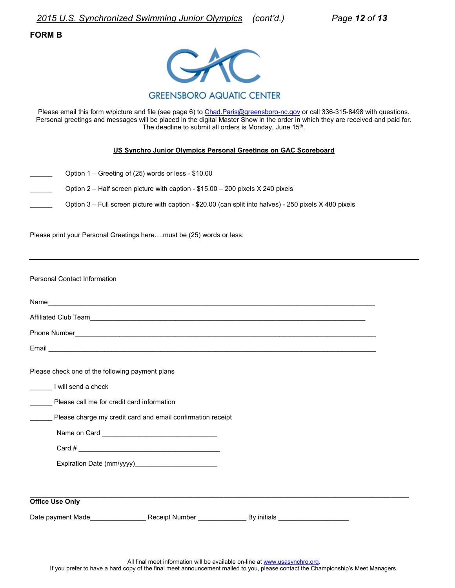*2015 U.S. Synchronized Swimming Junior Olympics (cont'd.) Page 12 of 13*

#### **FORM B**



Please email this form w/picture and file (see page 6) to [Chad.Paris@greensboro-nc.gov](mailto:Chad.Paris@greensboro-nc.gov) or call 336-315-8498 with questions. Personal greetings and messages will be placed in the digital Master Show in the order in which they are received and paid for. The deadline to submit all orders is Monday, June 15<sup>th</sup>.

#### **US Synchro Junior Olympics Personal Greetings on GAC Scoreboard**

- \_\_\_\_\_\_ Option 1 Greeting of (25) words or less \$10.00
	- Option 2 Half screen picture with caption \$15.00 200 pixels X 240 pixels
	- Option 3 Full screen picture with caption \$20.00 (can split into halves) 250 pixels X 480 pixels

Please print your Personal Greetings here....must be (25) words or less:

| <b>Personal Contact Information</b>             |                                                                                                              |  |  |  |  |  |
|-------------------------------------------------|--------------------------------------------------------------------------------------------------------------|--|--|--|--|--|
|                                                 |                                                                                                              |  |  |  |  |  |
|                                                 | Affiliated Club Team<br><u>Affiliated</u> Club Team                                                          |  |  |  |  |  |
|                                                 |                                                                                                              |  |  |  |  |  |
|                                                 |                                                                                                              |  |  |  |  |  |
| Please check one of the following payment plans |                                                                                                              |  |  |  |  |  |
| I will send a check                             |                                                                                                              |  |  |  |  |  |
| Please call me for credit card information      |                                                                                                              |  |  |  |  |  |
|                                                 | Please charge my credit card and email confirmation receipt                                                  |  |  |  |  |  |
|                                                 |                                                                                                              |  |  |  |  |  |
|                                                 | Card # $\overline{\phantom{a}}$                                                                              |  |  |  |  |  |
|                                                 |                                                                                                              |  |  |  |  |  |
|                                                 |                                                                                                              |  |  |  |  |  |
| <b>Office Use Only</b>                          |                                                                                                              |  |  |  |  |  |
|                                                 | Date payment Made <b>Example 20</b> Receipt Number <b>CONFING BY INSIS</b> By initials <b>CONFING ASSESS</b> |  |  |  |  |  |